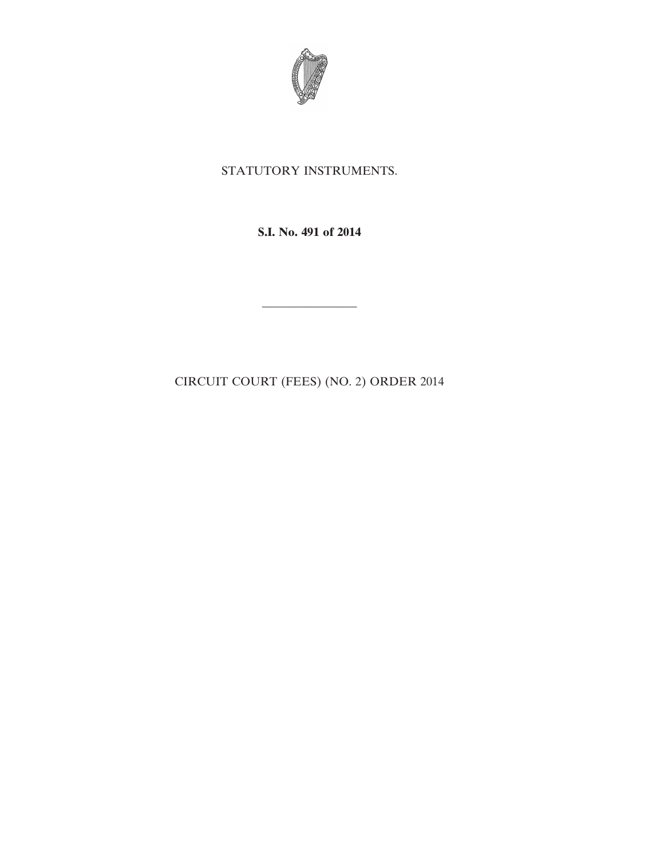

# STATUTORY INSTRUMENTS.

**S.I. No. 491 of 2014**

CIRCUIT COURT (FEES) (NO. 2) ORDER 2014

————————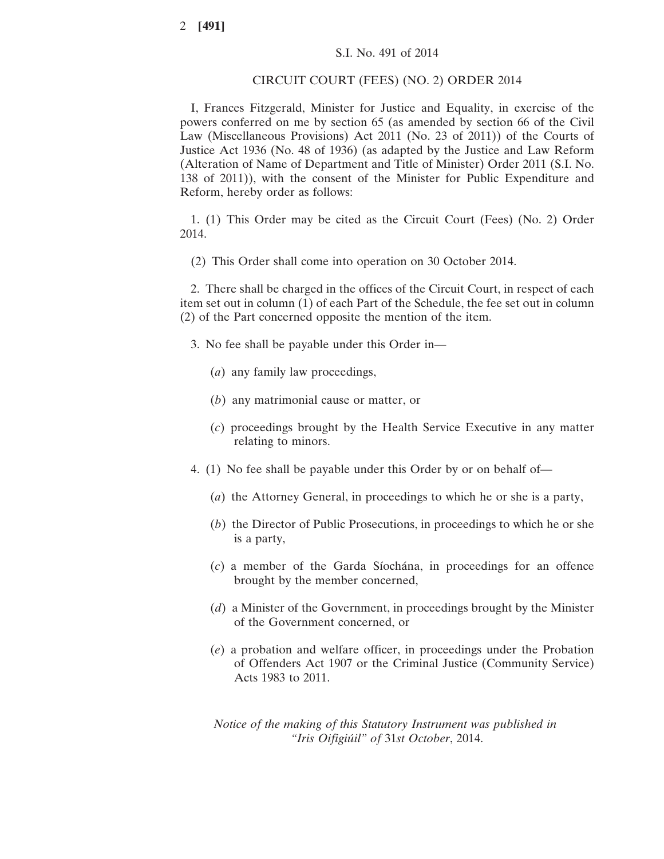#### CIRCUIT COURT (FEES) (NO. 2) ORDER 2014

I, Frances Fitzgerald, Minister for Justice and Equality, in exercise of the powers conferred on me by section 65 (as amended by section 66 of the Civil Law (Miscellaneous Provisions) Act 2011 (No. 23 of 2011)) of the Courts of Justice Act 1936 (No. 48 of 1936) (as adapted by the Justice and Law Reform (Alteration of Name of Department and Title of Minister) Order 2011 (S.I. No. 138 of 2011)), with the consent of the Minister for Public Expenditure and Reform, hereby order as follows:

1. (1) This Order may be cited as the Circuit Court (Fees) (No. 2) Order 2014.

(2) This Order shall come into operation on 30 October 2014.

2. There shall be charged in the offices of the Circuit Court, in respect of each item set out in column (1) of each Part of the Schedule, the fee set out in column (2) of the Part concerned opposite the mention of the item.

- 3. No fee shall be payable under this Order in—
	- (*a*) any family law proceedings,
	- (*b*) any matrimonial cause or matter, or
	- (*c*) proceedings brought by the Health Service Executive in any matter relating to minors.
- 4. (1) No fee shall be payable under this Order by or on behalf of—
	- (*a*) the Attorney General, in proceedings to which he or she is a party,
	- (*b*) the Director of Public Prosecutions, in proceedings to which he or she is a party,
	- (*c*) a member of the Garda Síochána, in proceedings for an offence brought by the member concerned,
	- (*d*) a Minister of the Government, in proceedings brought by the Minister of the Government concerned, or
	- (*e*) a probation and welfare officer, in proceedings under the Probation of Offenders Act 1907 or the Criminal Justice (Community Service) Acts 1983 to 2011.

*Notice of the making of this Statutory Instrument was published in "Iris Oifigiúil" of* 31*st October*, 2014.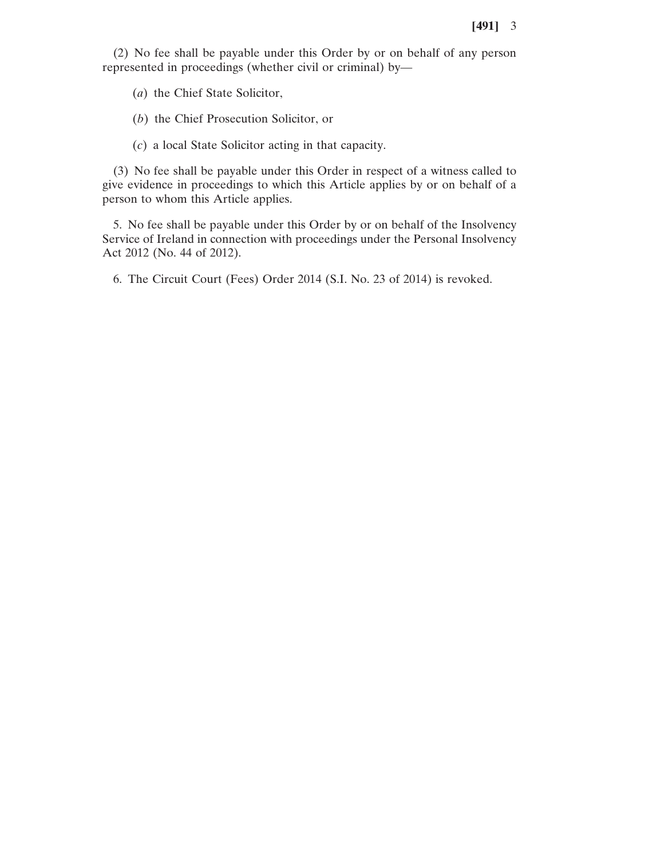(2) No fee shall be payable under this Order by or on behalf of any person represented in proceedings (whether civil or criminal) by—

(*a*) the Chief State Solicitor,

(*b*) the Chief Prosecution Solicitor, or

(*c*) a local State Solicitor acting in that capacity.

(3) No fee shall be payable under this Order in respect of a witness called to give evidence in proceedings to which this Article applies by or on behalf of a person to whom this Article applies.

5. No fee shall be payable under this Order by or on behalf of the Insolvency Service of Ireland in connection with proceedings under the Personal Insolvency Act 2012 (No. 44 of 2012).

6. The Circuit Court (Fees) Order 2014 (S.I. No. 23 of 2014) is revoked.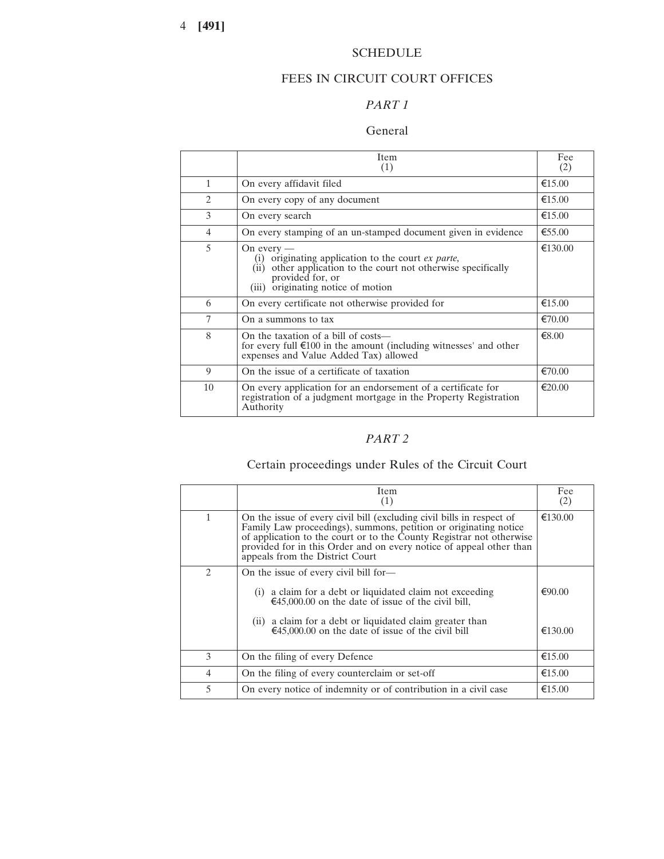## SCHEDULE

## FEES IN CIRCUIT COURT OFFICES

## *PART 1*

### General

|                             | <b>Item</b><br>(1)                                                                                                                                                                               | Fee<br>(2)       |
|-----------------------------|--------------------------------------------------------------------------------------------------------------------------------------------------------------------------------------------------|------------------|
| $\mathbf{1}$                | On every affidavit filed                                                                                                                                                                         | €15.00           |
| $\mathcal{D}_{\mathcal{L}}$ | On every copy of any document                                                                                                                                                                    | €15.00           |
| 3                           | On every search                                                                                                                                                                                  | €15.00           |
| 4                           | On every stamping of an un-stamped document given in evidence                                                                                                                                    | €55.00           |
| 5                           | On every $-$<br>originating application to the court ex parte,<br>other application to the court not otherwise specifically<br>(ii)<br>provided for, or<br>originating notice of motion<br>(iii) | €130.00          |
| 6                           | On every certificate not otherwise provided for                                                                                                                                                  | €15.00           |
| 7                           | On a summons to tax                                                                                                                                                                              | €70.00           |
| 8                           | On the taxation of a bill of costs—<br>for every full $\epsilon$ 100 in the amount (including witnesses' and other<br>expenses and Value Added Tax) allowed                                      | € $8.00$         |
| 9                           | On the issue of a certificate of taxation                                                                                                                                                        | $\epsilon$ 70.00 |
| 10                          | On every application for an endorsement of a certificate for<br>registration of a judgment mortgage in the Property Registration<br>Authority                                                    | $\epsilon$ 20.00 |

# *PART 2*

# Certain proceedings under Rules of the Circuit Court

|               | Item<br>(1)                                                                                                                                                                                                                                                                                                                 | Fee<br>(2) |
|---------------|-----------------------------------------------------------------------------------------------------------------------------------------------------------------------------------------------------------------------------------------------------------------------------------------------------------------------------|------------|
| 1             | On the issue of every civil bill (excluding civil bills in respect of<br>Family Law proceedings), summons, petition or originating notice<br>of application to the court or to the County Registrar not otherwise<br>provided for in this Order and on every notice of appeal other than<br>appeals from the District Court | €130.00    |
| $\mathcal{L}$ | On the issue of every civil bill for—<br>a claim for a debt or liquidated claim not exceeding<br>(1)<br>€45,000.00 on the date of issue of the civil bill,                                                                                                                                                                  | €90.00     |
|               | (ii) a claim for a debt or liquidated claim greater than<br>€45,000.00 on the date of issue of the civil bill                                                                                                                                                                                                               | €130.00    |
| 3             | On the filing of every Defence                                                                                                                                                                                                                                                                                              | €15.00     |
| 4             | On the filing of every counterclaim or set-off                                                                                                                                                                                                                                                                              | €15.00     |
| 5             | On every notice of indemnity or of contribution in a civil case                                                                                                                                                                                                                                                             | €15.00     |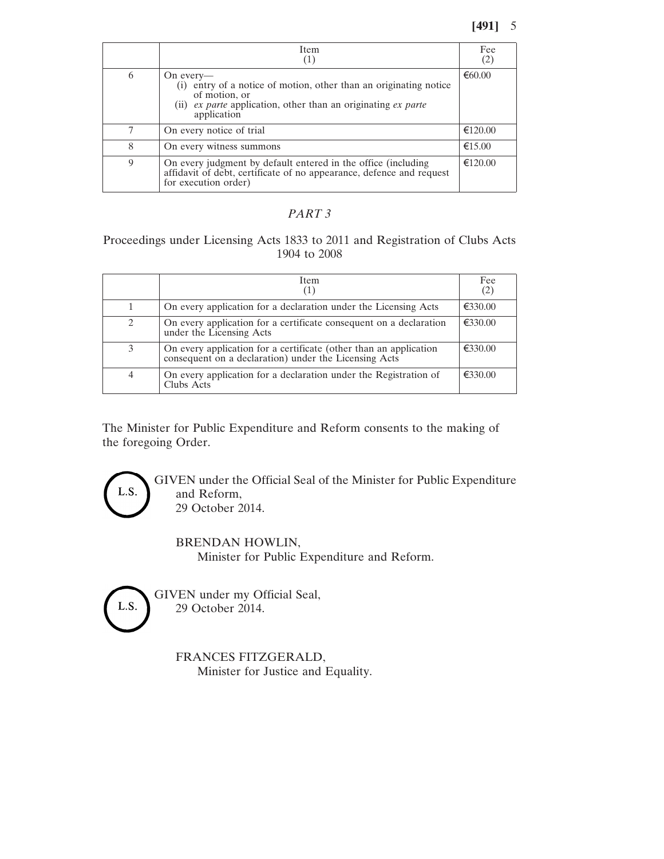## **[491]** 5

|   | <b>Item</b>                                                                                                                                                                     | Fee<br>(2)       |
|---|---------------------------------------------------------------------------------------------------------------------------------------------------------------------------------|------------------|
| 6 | On every—<br>(i) entry of a notice of motion, other than an originating notice<br>of motion, or<br>(ii) ex parte application, other than an originating ex parte<br>application | €60.00           |
| 7 | On every notice of trial                                                                                                                                                        | €120.00          |
| 8 | On every witness summons                                                                                                                                                        | $\epsilon$ 15.00 |
| 9 | On every judgment by default entered in the office (including<br>affidavit of debt, certificate of no appearance, defence and request<br>for execution order)                   | €120.00          |

### *PART 3*

## Proceedings under Licensing Acts 1833 to 2011 and Registration of Clubs Acts 1904 to 2008

|   | Item.                                                                                                                      | Fee<br>(2) |
|---|----------------------------------------------------------------------------------------------------------------------------|------------|
|   | On every application for a declaration under the Licensing Acts                                                            | €330.00    |
| 2 | On every application for a certificate consequent on a declaration<br>under the Licensing Acts                             | €330.00    |
| 3 | On every application for a certificate (other than an application<br>consequent on a declaration) under the Licensing Acts | €330.00    |
| 4 | On every application for a declaration under the Registration of<br>Clubs Acts                                             | €330.00    |

The Minister for Public Expenditure and Reform consents to the making of the foregoing Order.

> GIVEN under the Official Seal of the Minister for Public Expenditure and Reform, 29 October 2014.

BRENDAN HOWLIN, Minister for Public Expenditure and Reform.

L.S.

L.S.

GIVEN under my Official Seal, 29 October 2014.

> FRANCES FITZGERALD, Minister for Justice and Equality.